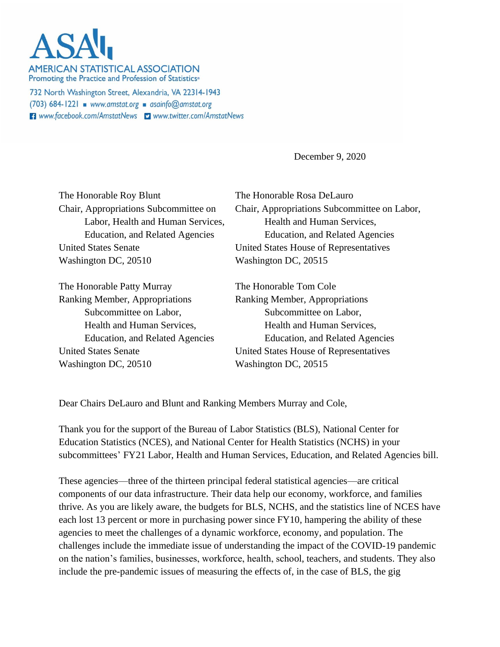## **ASA**

**AMERICAN STATISTICAL ASSOCIATION** Promoting the Practice and Profession of Statistics<sup>®</sup>

732 North Washington Street, Alexandria, VA 22314-1943 (703) 684-1221 www.amstat.org asainfo@amstat.org **El** www.facebook.com/AmstatNews **D** www.twitter.com/AmstatNews

December 9, 2020

The Honorable Roy Blunt The Honorable Rosa DeLauro United States Senate United States House of Representatives Washington DC, 20510 Washington DC, 20515

The Honorable Patty Murray The Honorable Tom Cole Ranking Member, Appropriations Ranking Member, Appropriations Subcommittee on Labor, Subcommittee on Labor, Washington DC, 20510 Washington DC, 20515

Chair, Appropriations Subcommittee on Chair, Appropriations Subcommittee on Labor, Labor, Health and Human Services. Health and Human Services, Education, and Related Agencies Education, and Related Agencies

Health and Human Services, Health and Human Services, Education, and Related Agencies Education, and Related Agencies United States Senate United States House of Representatives

Dear Chairs DeLauro and Blunt and Ranking Members Murray and Cole,

Thank you for the support of the Bureau of Labor Statistics (BLS), National Center for Education Statistics (NCES), and National Center for Health Statistics (NCHS) in your subcommittees' FY21 Labor, Health and Human Services, Education, and Related Agencies bill.

These agencies—three of the thirteen principal federal statistical agencies—are critical components of our data infrastructure. Their data help our economy, workforce, and families thrive. As you are likely aware, the budgets for BLS, NCHS, and the statistics line of NCES have each lost 13 percent or more in purchasing power since FY10, hampering the ability of these agencies to meet the challenges of a dynamic workforce, economy, and population. The challenges include the immediate issue of understanding the impact of the COVID-19 pandemic on the nation's families, businesses, workforce, health, school, teachers, and students. They also include the pre-pandemic issues of measuring the effects of, in the case of BLS, the gig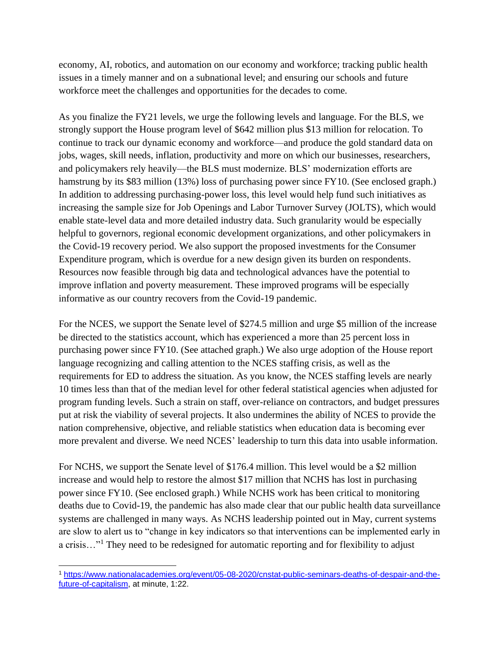economy, AI, robotics, and automation on our economy and workforce; tracking public health issues in a timely manner and on a subnational level; and ensuring our schools and future workforce meet the challenges and opportunities for the decades to come.

As you finalize the FY21 levels, we urge the following levels and language. For the BLS, we strongly support the House program level of \$642 million plus \$13 million for relocation. To continue to track our dynamic economy and workforce—and produce the gold standard data on jobs, wages, skill needs, inflation, productivity and more on which our businesses, researchers, and policymakers rely heavily—the BLS must modernize. BLS' modernization efforts are hamstrung by its \$83 million (13%) loss of purchasing power since FY10. (See enclosed graph.) In addition to addressing purchasing-power loss, this level would help fund such initiatives as increasing the sample size for Job Openings and Labor Turnover Survey (JOLTS), which would enable state-level data and more detailed industry data. Such granularity would be especially helpful to governors, regional economic development organizations, and other policymakers in the Covid-19 recovery period. We also support the proposed investments for the Consumer Expenditure program, which is overdue for a new design given its burden on respondents. Resources now feasible through big data and technological advances have the potential to improve inflation and poverty measurement. These improved programs will be especially informative as our country recovers from the Covid-19 pandemic.

For the NCES, we support the Senate level of \$274.5 million and urge \$5 million of the increase be directed to the statistics account, which has experienced a more than 25 percent loss in purchasing power since FY10. (See attached graph.) We also urge adoption of the House report language recognizing and calling attention to the NCES staffing crisis, as well as the requirements for ED to address the situation. As you know, the NCES staffing levels are nearly 10 times less than that of the median level for other federal statistical agencies when adjusted for program funding levels. Such a strain on staff, over-reliance on contractors, and budget pressures put at risk the viability of several projects. It also undermines the ability of NCES to provide the nation comprehensive, objective, and reliable statistics when education data is becoming ever more prevalent and diverse. We need NCES' leadership to turn this data into usable information.

For NCHS, we support the Senate level of \$176.4 million. This level would be a \$2 million increase and would help to restore the almost \$17 million that NCHS has lost in purchasing power since FY10. (See enclosed graph.) While NCHS work has been critical to monitoring deaths due to Covid-19, the pandemic has also made clear that our public health data surveillance systems are challenged in many ways. As NCHS leadership pointed out in May, current systems are slow to alert us to "change in key indicators so that interventions can be implemented early in a crisis…"<sup>1</sup> They need to be redesigned for automatic reporting and for flexibility to adjust

<sup>1</sup> [https://www.nationalacademies.org/event/05-08-2020/cnstat-public-seminars-deaths-of-despair-and-the](https://www.nationalacademies.org/event/05-08-2020/cnstat-public-seminars-deaths-of-despair-and-the-future-of-capitalism)[future-of-capitalism,](https://www.nationalacademies.org/event/05-08-2020/cnstat-public-seminars-deaths-of-despair-and-the-future-of-capitalism) at minute, 1:22.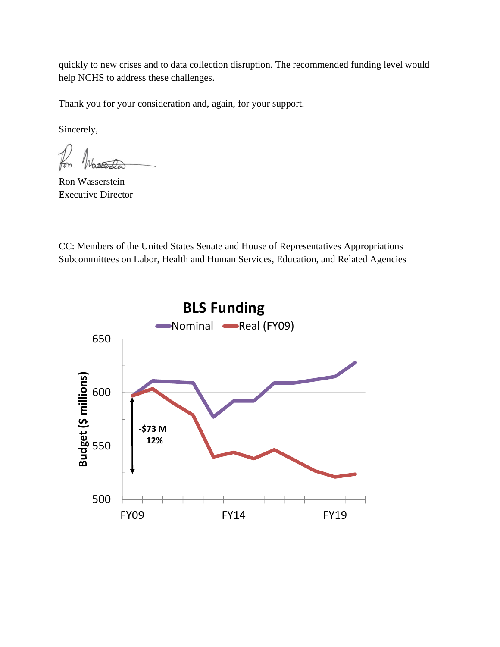quickly to new crises and to data collection disruption. The recommended funding level would help NCHS to address these challenges.

Thank you for your consideration and, again, for your support.

Sincerely,

Ron Wasserstein Executive Director

CC: Members of the United States Senate and House of Representatives Appropriations Subcommittees on Labor, Health and Human Services, Education, and Related Agencies